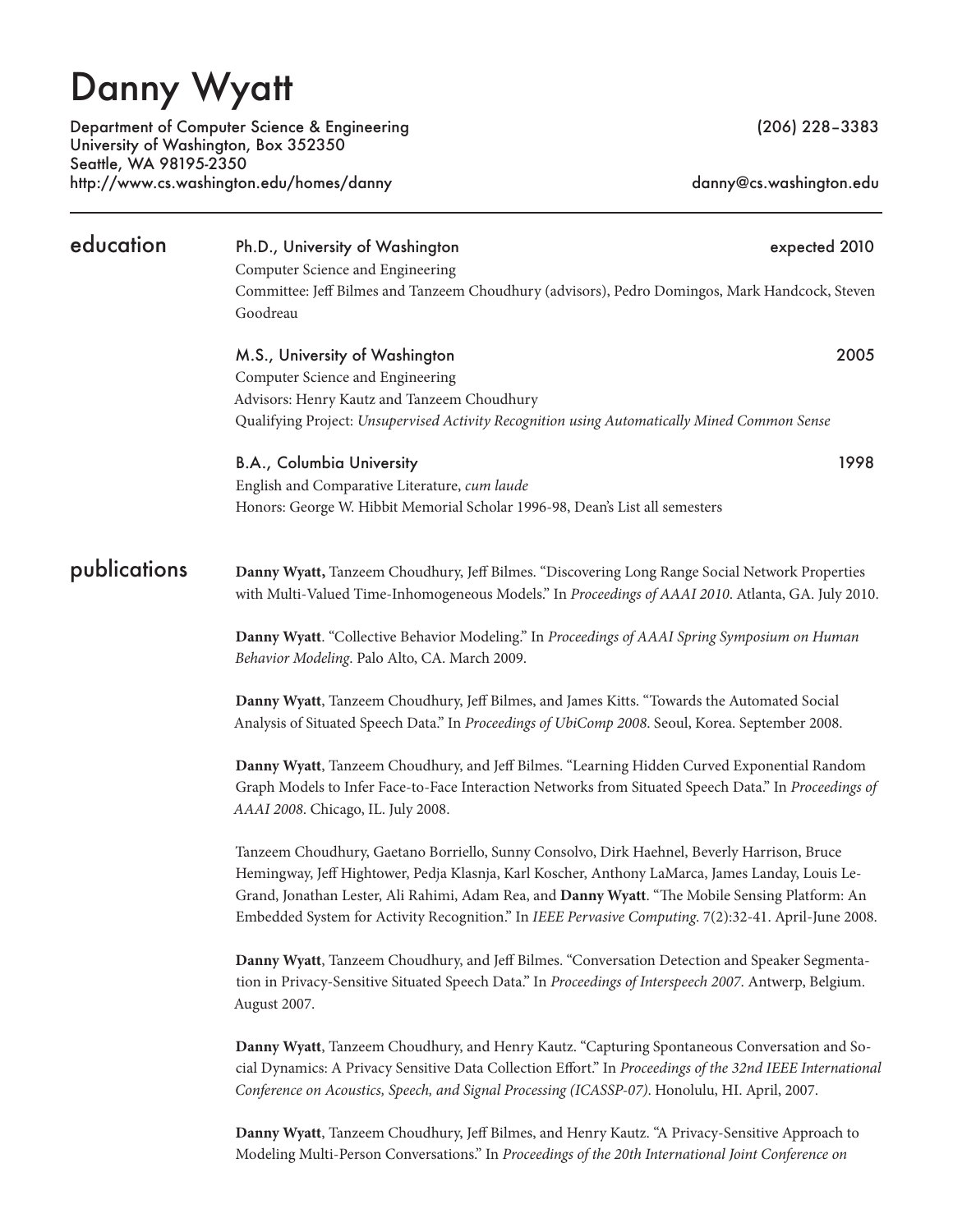# Danny Wyatt

Department of Computer Science & Engineering (206) 228–3383 University of Washington, Box 352350 Seattle, WA 98195-2350 http://www.cs.washington.edu/homes/danny and announcedum danny@cs.washington.edu

| education    | Ph.D., University of Washington<br>Computer Science and Engineering                                                                                                                                                                                                                                                                                                                                        | expected 2010 |  |
|--------------|------------------------------------------------------------------------------------------------------------------------------------------------------------------------------------------------------------------------------------------------------------------------------------------------------------------------------------------------------------------------------------------------------------|---------------|--|
|              | Committee: Jeff Bilmes and Tanzeem Choudhury (advisors), Pedro Domingos, Mark Handcock, Steven<br>Goodreau                                                                                                                                                                                                                                                                                                 |               |  |
|              | M.S., University of Washington<br>Computer Science and Engineering                                                                                                                                                                                                                                                                                                                                         | 2005          |  |
|              | Advisors: Henry Kautz and Tanzeem Choudhury<br>Qualifying Project: Unsupervised Activity Recognition using Automatically Mined Common Sense                                                                                                                                                                                                                                                                |               |  |
|              | <b>B.A., Columbia University</b><br>English and Comparative Literature, cum laude                                                                                                                                                                                                                                                                                                                          | 1998          |  |
|              | Honors: George W. Hibbit Memorial Scholar 1996-98, Dean's List all semesters                                                                                                                                                                                                                                                                                                                               |               |  |
| publications | Danny Wyatt, Tanzeem Choudhury, Jeff Bilmes. "Discovering Long Range Social Network Properties<br>with Multi-Valued Time-Inhomogeneous Models." In Proceedings of AAAI 2010. Atlanta, GA. July 2010.                                                                                                                                                                                                       |               |  |
|              | Danny Wyatt. "Collective Behavior Modeling." In Proceedings of AAAI Spring Symposium on Human<br>Behavior Modeling. Palo Alto, CA. March 2009.                                                                                                                                                                                                                                                             |               |  |
|              | Danny Wyatt, Tanzeem Choudhury, Jeff Bilmes, and James Kitts. "Towards the Automated Social<br>Analysis of Situated Speech Data." In Proceedings of UbiComp 2008. Seoul, Korea. September 2008.                                                                                                                                                                                                            |               |  |
|              | Danny Wyatt, Tanzeem Choudhury, and Jeff Bilmes. "Learning Hidden Curved Exponential Random<br>Graph Models to Infer Face-to-Face Interaction Networks from Situated Speech Data." In Proceedings of<br>AAAI 2008. Chicago, IL. July 2008.                                                                                                                                                                 |               |  |
|              | Tanzeem Choudhury, Gaetano Borriello, Sunny Consolvo, Dirk Haehnel, Beverly Harrison, Bruce<br>Hemingway, Jeff Hightower, Pedja Klasnja, Karl Koscher, Anthony LaMarca, James Landay, Louis Le-<br>Grand, Jonathan Lester, Ali Rahimi, Adam Rea, and Danny Wyatt. "The Mobile Sensing Platform: An<br>Embedded System for Activity Recognition." In IEEE Pervasive Computing. 7(2):32-41. April-June 2008. |               |  |
|              | Danny Wyatt, Tanzeem Choudhury, and Jeff Bilmes. "Conversation Detection and Speaker Segmenta-<br>tion in Privacy-Sensitive Situated Speech Data." In Proceedings of Interspeech 2007. Antwerp, Belgium.<br>August 2007.                                                                                                                                                                                   |               |  |
|              | Danny Wyatt, Tanzeem Choudhury, and Henry Kautz. "Capturing Spontaneous Conversation and So-<br>cial Dynamics: A Privacy Sensitive Data Collection Effort." In Proceedings of the 32nd IEEE International<br>Conference on Acoustics, Speech, and Signal Processing (ICASSP-07). Honolulu, HI. April, 2007.                                                                                                |               |  |

**Danny Wyatt**, Tanzeem Choudhury, Jeff Bilmes, and Henry Kautz. "A Privacy-Sensitive Approach to Modeling Multi-Person Conversations." In *Proceedings of the 20th International Joint Conference on*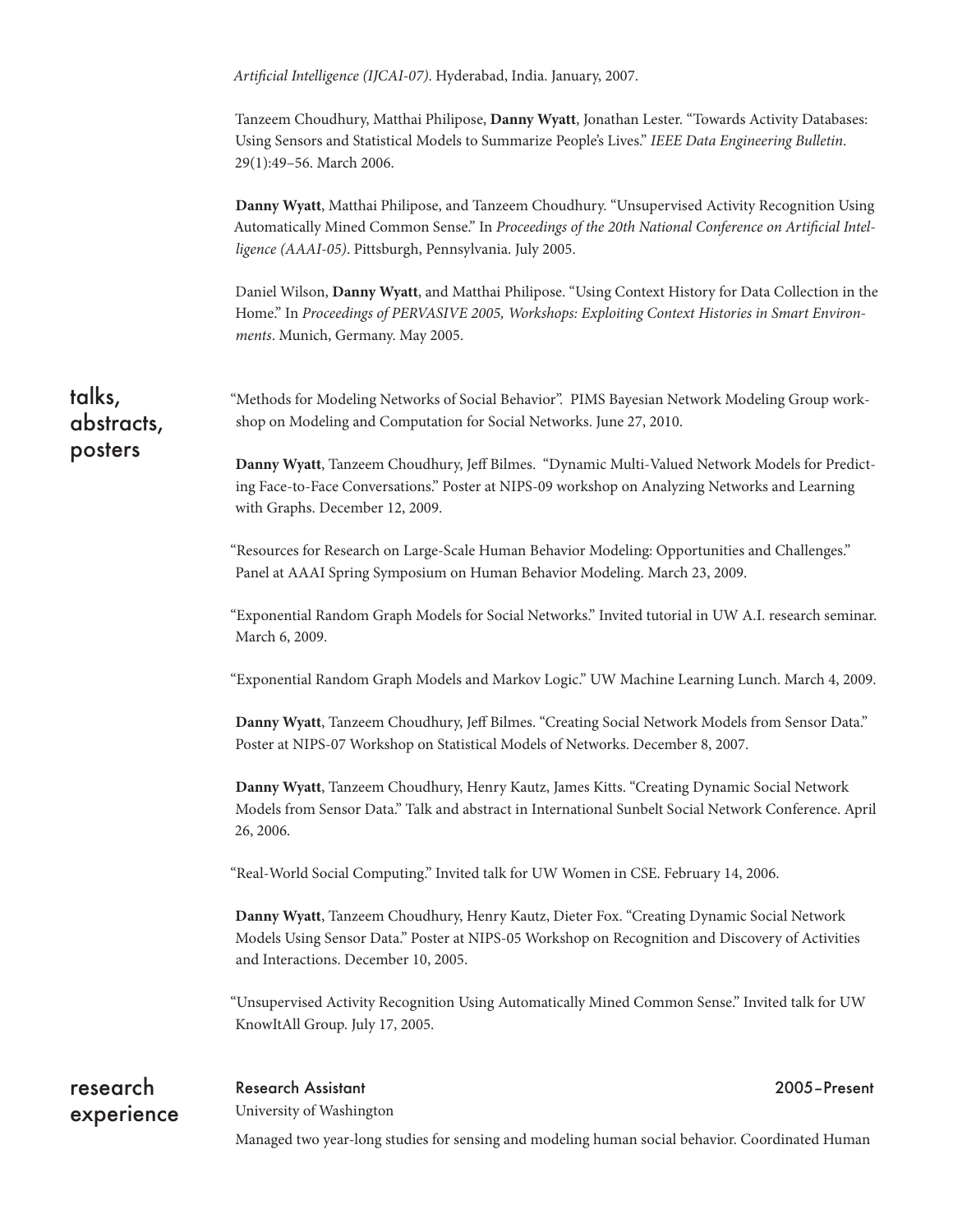| research<br>experience | <b>Research Assistant</b><br>2005-Present<br>University of Washington                                                                                                                                                                                                |
|------------------------|----------------------------------------------------------------------------------------------------------------------------------------------------------------------------------------------------------------------------------------------------------------------|
|                        | "Unsupervised Activity Recognition Using Automatically Mined Common Sense." Invited talk for UW<br>KnowItAll Group. July 17, 2005.                                                                                                                                   |
|                        | Danny Wyatt, Tanzeem Choudhury, Henry Kautz, Dieter Fox. "Creating Dynamic Social Network<br>Models Using Sensor Data." Poster at NIPS-05 Workshop on Recognition and Discovery of Activities<br>and Interactions. December 10, 2005.                                |
|                        | "Real-World Social Computing." Invited talk for UW Women in CSE. February 14, 2006.                                                                                                                                                                                  |
|                        | Danny Wyatt, Tanzeem Choudhury, Henry Kautz, James Kitts. "Creating Dynamic Social Network<br>Models from Sensor Data." Talk and abstract in International Sunbelt Social Network Conference. April<br>26, 2006.                                                     |
|                        | Poster at NIPS-07 Workshop on Statistical Models of Networks. December 8, 2007.                                                                                                                                                                                      |
|                        | "Exponential Random Graph Models and Markov Logic." UW Machine Learning Lunch. March 4, 2009.<br>Danny Wyatt, Tanzeem Choudhury, Jeff Bilmes. "Creating Social Network Models from Sensor Data."                                                                     |
|                        | "Exponential Random Graph Models for Social Networks." Invited tutorial in UW A.I. research seminar.<br>March 6, 2009.                                                                                                                                               |
|                        | "Resources for Research on Large-Scale Human Behavior Modeling: Opportunities and Challenges."<br>Panel at AAAI Spring Symposium on Human Behavior Modeling. March 23, 2009.                                                                                         |
| posters                | Danny Wyatt, Tanzeem Choudhury, Jeff Bilmes. "Dynamic Multi-Valued Network Models for Predict-<br>ing Face-to-Face Conversations." Poster at NIPS-09 workshop on Analyzing Networks and Learning<br>with Graphs. December 12, 2009.                                  |
| talks,<br>abstracts,   | "Methods for Modeling Networks of Social Behavior". PIMS Bayesian Network Modeling Group work-<br>shop on Modeling and Computation for Social Networks. June 27, 2010.                                                                                               |
|                        | Daniel Wilson, Danny Wyatt, and Matthai Philipose. "Using Context History for Data Collection in the<br>Home." In Proceedings of PERVASIVE 2005, Workshops: Exploiting Context Histories in Smart Environ-<br>ments. Munich, Germany. May 2005.                      |
|                        | Danny Wyatt, Matthai Philipose, and Tanzeem Choudhury. "Unsupervised Activity Recognition Using<br>Automatically Mined Common Sense." In Proceedings of the 20th National Conference on Artificial Intel-<br>ligence (AAAI-05). Pittsburgh, Pennsylvania. July 2005. |
|                        | Tanzeem Choudhury, Matthai Philipose, Danny Wyatt, Jonathan Lester. "Towards Activity Databases:<br>Using Sensors and Statistical Models to Summarize People's Lives." IEEE Data Engineering Bulletin.<br>29(1):49-56. March 2006.                                   |
|                        | Artificial Intelligence (IJCAI-07). Hyderabad, India. January, 2007.                                                                                                                                                                                                 |

Managed two year-long studies for sensing and modeling human social behavior. Coordinated Human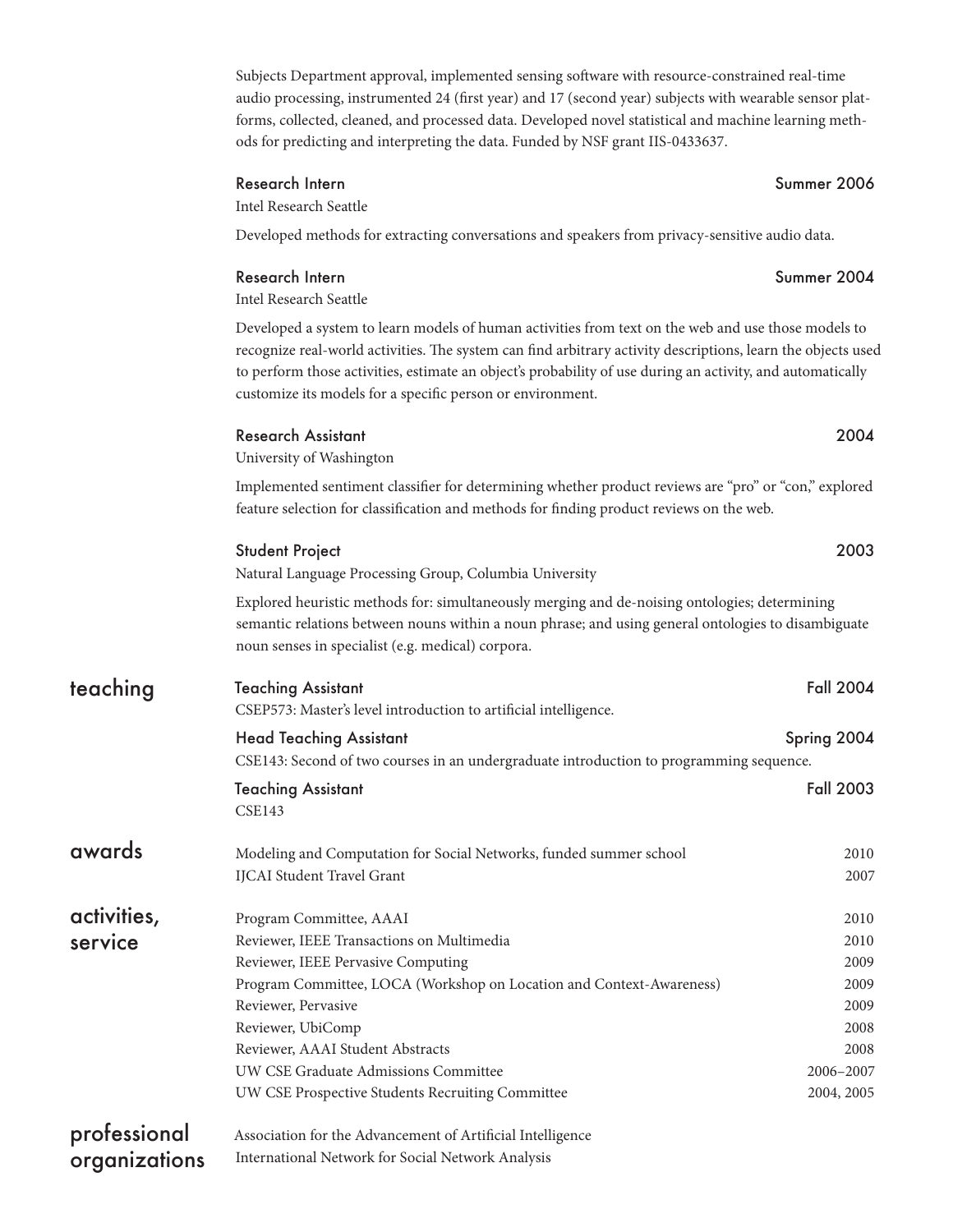Subjects Department approval, implemented sensing software with resource-constrained real-time audio processing, instrumented 24 (first year) and 17 (second year) subjects with wearable sensor platforms, collected, cleaned, and processed data. Developed novel statistical and machine learning methods for predicting and interpreting the data. Funded by NSF grant IIS-0433637.

### Research Intern Summer 2006

Intel Research Seattle

Developed methods for extracting conversations and speakers from privacy-sensitive audio data.

### Research Intern Summer 2004

Intel Research Seattle

Developed a system to learn models of human activities from text on the web and use those models to recognize real-world activities. The system can find arbitrary activity descriptions, learn the objects used to perform those activities, estimate an object's probability of use during an activity, and automatically customize its models for a specific person or environment.

### Research Assistant 2004

University of Washington

Implemented sentiment classifier for determining whether product reviews are "pro" or "con," explored feature selection for classification and methods for finding product reviews on the web.

|              | <b>Student Project</b><br>Natural Language Processing Group, Columbia University                                                                                                                                                                          | 2003             |  |
|--------------|-----------------------------------------------------------------------------------------------------------------------------------------------------------------------------------------------------------------------------------------------------------|------------------|--|
|              | Explored heuristic methods for: simultaneously merging and de-noising ontologies; determining<br>semantic relations between nouns within a noun phrase; and using general ontologies to disambiguate<br>noun senses in specialist (e.g. medical) corpora. |                  |  |
| teaching     | <b>Teaching Assistant</b><br>CSEP573: Master's level introduction to artificial intelligence.                                                                                                                                                             | <b>Fall 2004</b> |  |
|              | <b>Head Teaching Assistant</b>                                                                                                                                                                                                                            | Spring 2004      |  |
|              | CSE143: Second of two courses in an undergraduate introduction to programming sequence.                                                                                                                                                                   |                  |  |
|              | Teaching Assistant                                                                                                                                                                                                                                        | <b>Fall 2003</b> |  |
|              | <b>CSE143</b>                                                                                                                                                                                                                                             |                  |  |
| awards       | Modeling and Computation for Social Networks, funded summer school                                                                                                                                                                                        | 2010             |  |
|              | <b>IJCAI</b> Student Travel Grant                                                                                                                                                                                                                         | 2007             |  |
| activities,  | Program Committee, AAAI                                                                                                                                                                                                                                   | 2010             |  |
| service      | Reviewer, IEEE Transactions on Multimedia                                                                                                                                                                                                                 | 2010             |  |
|              | Reviewer, IEEE Pervasive Computing                                                                                                                                                                                                                        | 2009             |  |
|              | Program Committee, LOCA (Workshop on Location and Context-Awareness)                                                                                                                                                                                      | 2009             |  |
|              | Reviewer, Pervasive                                                                                                                                                                                                                                       | 2009             |  |
|              | Reviewer, UbiComp                                                                                                                                                                                                                                         | 2008             |  |
|              | Reviewer, AAAI Student Abstracts                                                                                                                                                                                                                          | 2008             |  |
|              | UW CSE Graduate Admissions Committee                                                                                                                                                                                                                      | 2006-2007        |  |
|              | UW CSE Prospective Students Recruiting Committee                                                                                                                                                                                                          | 2004, 2005       |  |
| professional | Association for the Advancement of Artificial Intelligence                                                                                                                                                                                                |                  |  |

International Network for Social Network Analysis

organizations